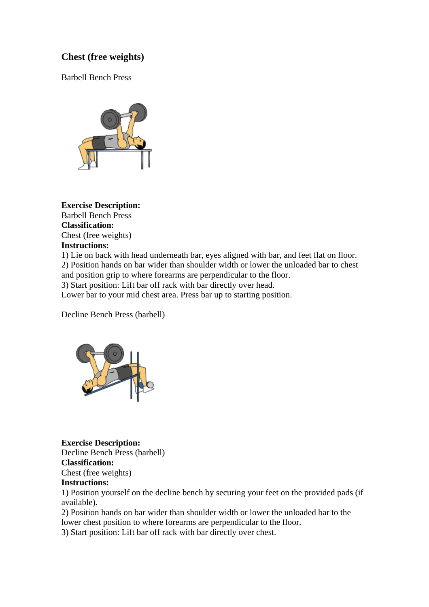# **Chest (free weights)**

Barbell Bench Press



**Exercise Description:** Barbell Bench Press **Classification:** Chest (free weights) **Instructions:**

1) Lie on back with head underneath bar, eyes aligned with bar, and feet flat on floor. 2) Position hands on bar wider than shoulder width or lower the unloaded bar to chest and position grip to where forearms are perpendicular to the floor. 3) Start position: Lift bar off rack with bar directly over head.

Lower bar to your mid chest area. Press bar up to starting position.

Decline Bench Press (barbell)



**Exercise Description:** Decline Bench Press (barbell) **Classification:** Chest (free weights) **Instructions:**

1) Position yourself on the decline bench by securing your feet on the provided pads (if available).

2) Position hands on bar wider than shoulder width or lower the unloaded bar to the lower chest position to where forearms are perpendicular to the floor.

3) Start position: Lift bar off rack with bar directly over chest.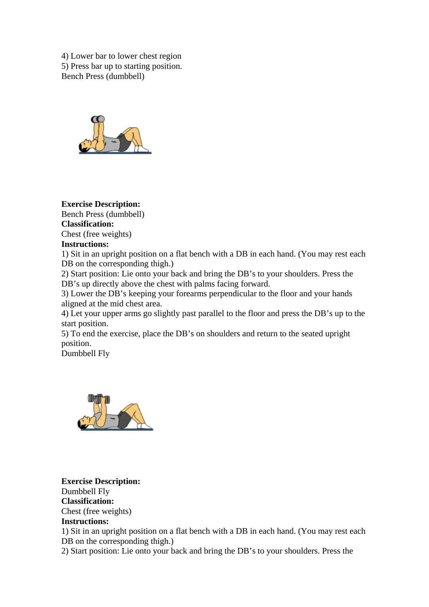4) Lower bar to lower chest region 5) Press bar up to starting position. Bench Press (dumbbell)



# **Exercise Description:**

Bench Press (dumbbell)

**Classification:**

Chest (free weights)

# **Instructions:**

1) Sit in an upright position on a flat bench with a DB in each hand. (You may rest each DB on the corresponding thigh.)

2) Start position: Lie onto your back and bring the DB's to your shoulders. Press the DB's up directly above the chest with palms facing forward.

3) Lower the DB's keeping your forearms perpendicular to the floor and your hands aligned at the mid chest area.

4) Let your upper arms go slightly past parallel to the floor and press the DB's up to the start position.

5) To end the exercise, place the DB's on shoulders and return to the seated upright position.

Dumbbell Fly



**Exercise Description:** Dumbbell Fly **Classification:** Chest (free weights) **Instructions:** 1) Sit in an upright position on a flat bench with a DB in each hand. (You may rest each DB on the corresponding thigh.) 2) Start position: Lie onto your back and bring the DB's to your shoulders. Press the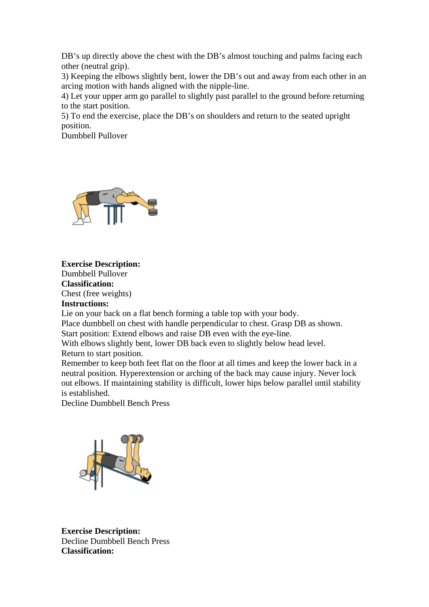DB's up directly above the chest with the DB's almost touching and palms facing each other (neutral grip).

3) Keeping the elbows slightly bent, lower the DB's out and away from each other in an arcing motion with hands aligned with the nipple-line.

4) Let your upper arm go parallel to slightly past parallel to the ground before returning to the start position.

5) To end the exercise, place the DB's on shoulders and return to the seated upright position.

Dumbbell Pullover



# **Exercise Description:** Dumbbell Pullover **Classification:**

Chest (free weights) **Instructions:**

Lie on your back on a flat bench forming a table top with your body.

Place dumbbell on chest with handle perpendicular to chest. Grasp DB as shown.

Start position: Extend elbows and raise DB even with the eye-line.

With elbows slightly bent, lower DB back even to slightly below head level. Return to start position.

Remember to keep both feet flat on the floor at all times and keep the lower back in a neutral position. Hyperextension or arching of the back may cause injury. Never lock out elbows. If maintaining stability is difficult, lower hips below parallel until stability is established.

Decline Dumbbell Bench Press



**Exercise Description:** Decline Dumbbell Bench Press **Classification:**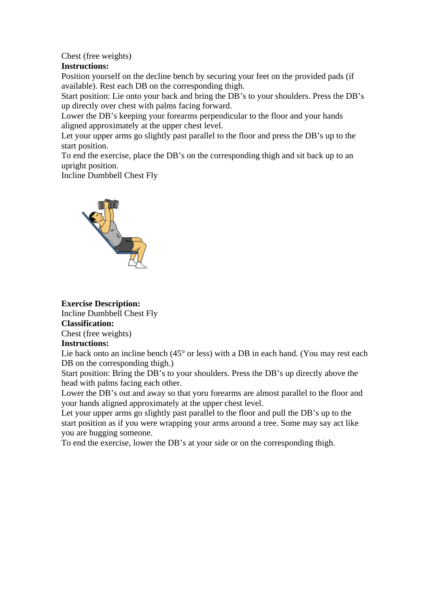# Chest (free weights)

### **Instructions:**

Position yourself on the decline bench by securing your feet on the provided pads (if available). Rest each DB on the corresponding thigh.

Start position: Lie onto your back and bring the DB's to your shoulders. Press the DB's up directly over chest with palms facing forward.

Lower the DB's keeping your forearms perpendicular to the floor and your hands aligned approximately at the upper chest level.

Let your upper arms go slightly past parallel to the floor and press the DB's up to the start position.

To end the exercise, place the DB's on the corresponding thigh and sit back up to an upright position.

Incline Dumbbell Chest Fly



**Exercise Description:**

Incline Dumbbell Chest Fly

# **Classification:**

Chest (free weights)

### **Instructions:**

Lie back onto an incline bench (45° or less) with a DB in each hand. (You may rest each DB on the corresponding thigh.)

Start position: Bring the DB's to your shoulders. Press the DB's up directly above the head with palms facing each other.

Lower the DB's out and away so that yoru forearms are almost parallel to the floor and your hands aligned approximately at the upper chest level.

Let your upper arms go slightly past parallel to the floor and pull the DB's up to the start position as if you were wrapping your arms around a tree. Some may say act like you are hugging someone.

To end the exercise, lower the DB's at your side or on the corresponding thigh.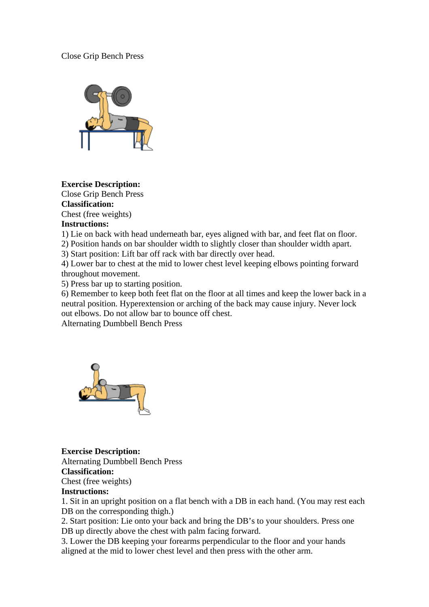# Close Grip Bench Press



### **Exercise Description:**

Close Grip Bench Press **Classification:** Chest (free weights)

# **Instructions:**

1) Lie on back with head underneath bar, eyes aligned with bar, and feet flat on floor.

2) Position hands on bar shoulder width to slightly closer than shoulder width apart.

3) Start position: Lift bar off rack with bar directly over head.

4) Lower bar to chest at the mid to lower chest level keeping elbows pointing forward throughout movement.

5) Press bar up to starting position.

6) Remember to keep both feet flat on the floor at all times and keep the lower back in a neutral position. Hyperextension or arching of the back may cause injury. Never lock out elbows. Do not allow bar to bounce off chest.

Alternating Dumbbell Bench Press



**Exercise Description:** Alternating Dumbbell Bench Press **Classification:** Chest (free weights) **Instructions:**

1. Sit in an upright position on a flat bench with a DB in each hand. (You may rest each DB on the corresponding thigh.)

2. Start position: Lie onto your back and bring the DB's to your shoulders. Press one DB up directly above the chest with palm facing forward.

3. Lower the DB keeping your forearms perpendicular to the floor and your hands aligned at the mid to lower chest level and then press with the other arm.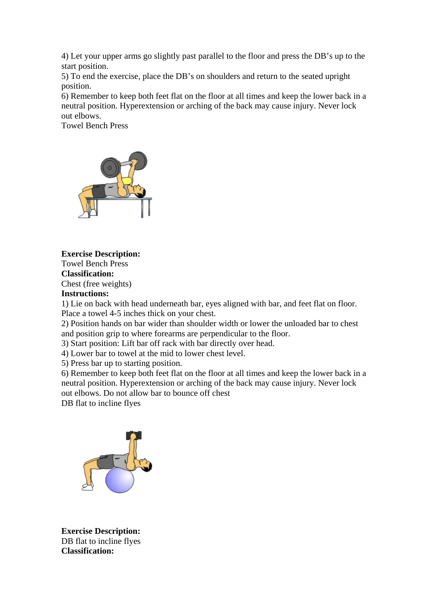4) Let your upper arms go slightly past parallel to the floor and press the DB's up to the start position.

5) To end the exercise, place the DB's on shoulders and return to the seated upright position.

6) Remember to keep both feet flat on the floor at all times and keep the lower back in a neutral position. Hyperextension or arching of the back may cause injury. Never lock out elbows.

Towel Bench Press



**Exercise Description:**

Towel Bench Press

**Classification:**

Chest (free weights)

**Instructions:**

1) Lie on back with head underneath bar, eyes aligned with bar, and feet flat on floor. Place a towel 4-5 inches thick on your chest.

2) Position hands on bar wider than shoulder width or lower the unloaded bar to chest and position grip to where forearms are perpendicular to the floor.

3) Start position: Lift bar off rack with bar directly over head.

4) Lower bar to towel at the mid to lower chest level.

5) Press bar up to starting position.

6) Remember to keep both feet flat on the floor at all times and keep the lower back in a neutral position. Hyperextension or arching of the back may cause injury. Never lock out elbows. Do not allow bar to bounce off chest

DB flat to incline flyes



**Exercise Description:** DB flat to incline flyes **Classification:**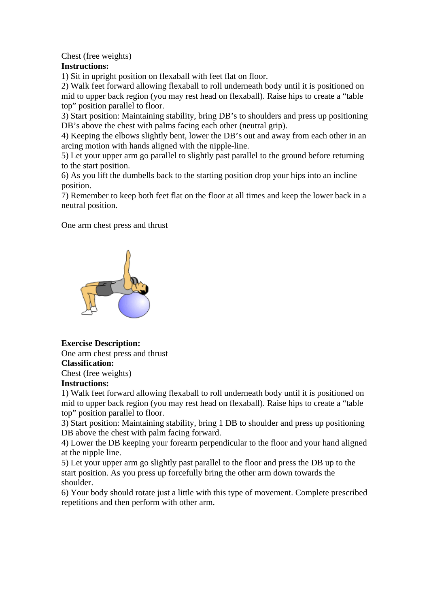Chest (free weights)

# **Instructions:**

1) Sit in upright position on flexaball with feet flat on floor.

2) Walk feet forward allowing flexaball to roll underneath body until it is positioned on mid to upper back region (you may rest head on flexaball). Raise hips to create a "table top" position parallel to floor.

3) Start position: Maintaining stability, bring DB's to shoulders and press up positioning DB's above the chest with palms facing each other (neutral grip).

4) Keeping the elbows slightly bent, lower the DB's out and away from each other in an arcing motion with hands aligned with the nipple-line.

5) Let your upper arm go parallel to slightly past parallel to the ground before returning to the start position.

6) As you lift the dumbells back to the starting position drop your hips into an incline position.

7) Remember to keep both feet flat on the floor at all times and keep the lower back in a neutral position.

One arm chest press and thrust



**Exercise Description:**

One arm chest press and thrust **Classification:**

Chest (free weights)

# **Instructions:**

1) Walk feet forward allowing flexaball to roll underneath body until it is positioned on mid to upper back region (you may rest head on flexaball). Raise hips to create a "table top" position parallel to floor.

3) Start position: Maintaining stability, bring 1 DB to shoulder and press up positioning DB above the chest with palm facing forward.

4) Lower the DB keeping your forearm perpendicular to the floor and your hand aligned at the nipple line.

5) Let your upper arm go slightly past parallel to the floor and press the DB up to the start position. As you press up forcefully bring the other arm down towards the shoulder.

6) Your body should rotate just a little with this type of movement. Complete prescribed repetitions and then perform with other arm.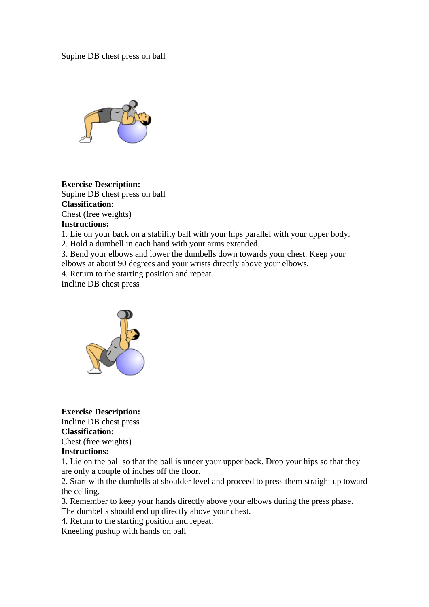Supine DB chest press on ball



**Exercise Description:** Supine DB chest press on ball **Classification:** Chest (free weights)

### **Instructions:**

1. Lie on your back on a stability ball with your hips parallel with your upper body.

2. Hold a dumbell in each hand with your arms extended.

3. Bend your elbows and lower the dumbells down towards your chest. Keep your elbows at about 90 degrees and your wrists directly above your elbows.

4. Return to the starting position and repeat.

Incline DB chest press



**Exercise Description:**

Incline DB chest press

# **Classification:**

Chest (free weights)

### **Instructions:**

1. Lie on the ball so that the ball is under your upper back. Drop your hips so that they are only a couple of inches off the floor.

2. Start with the dumbells at shoulder level and proceed to press them straight up toward the ceiling.

3. Remember to keep your hands directly above your elbows during the press phase. The dumbells should end up directly above your chest.

4. Return to the starting position and repeat.

Kneeling pushup with hands on ball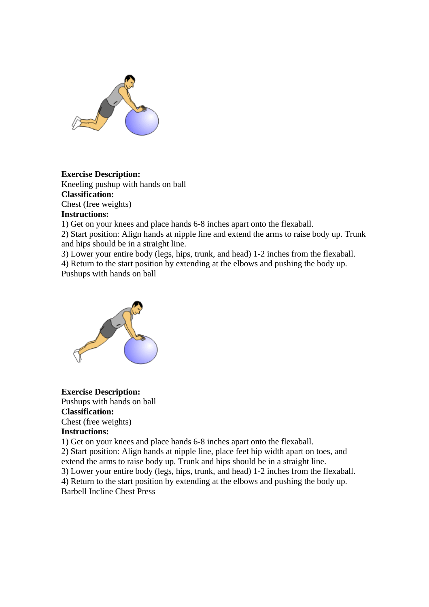

# **Exercise Description:**

Kneeling pushup with hands on ball **Classification:** Chest (free weights) **Instructions:**

1) Get on your knees and place hands 6-8 inches apart onto the flexaball.

2) Start position: Align hands at nipple line and extend the arms to raise body up. Trunk and hips should be in a straight line.

3) Lower your entire body (legs, hips, trunk, and head) 1-2 inches from the flexaball.

4) Return to the start position by extending at the elbows and pushing the body up. Pushups with hands on ball



**Exercise Description:** Pushups with hands on ball **Classification:** Chest (free weights) **Instructions:**

1) Get on your knees and place hands 6-8 inches apart onto the flexaball.

2) Start position: Align hands at nipple line, place feet hip width apart on toes, and extend the arms to raise body up. Trunk and hips should be in a straight line.

3) Lower your entire body (legs, hips, trunk, and head) 1-2 inches from the flexaball.

4) Return to the start position by extending at the elbows and pushing the body up. Barbell Incline Chest Press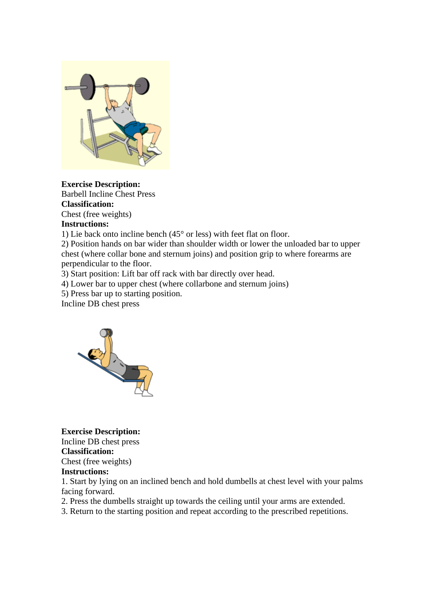

**Exercise Description:** Barbell Incline Chest Press **Classification:** Chest (free weights)

# **Instructions:**

1) Lie back onto incline bench (45° or less) with feet flat on floor.

2) Position hands on bar wider than shoulder width or lower the unloaded bar to upper chest (where collar bone and sternum joins) and position grip to where forearms are perpendicular to the floor.

3) Start position: Lift bar off rack with bar directly over head.

4) Lower bar to upper chest (where collarbone and sternum joins)

5) Press bar up to starting position.

Incline DB chest press



**Exercise Description:** Incline DB chest press

**Classification:** Chest (free weights)

# **Instructions:**

1. Start by lying on an inclined bench and hold dumbells at chest level with your palms facing forward.

2. Press the dumbells straight up towards the ceiling until your arms are extended.

3. Return to the starting position and repeat according to the prescribed repetitions.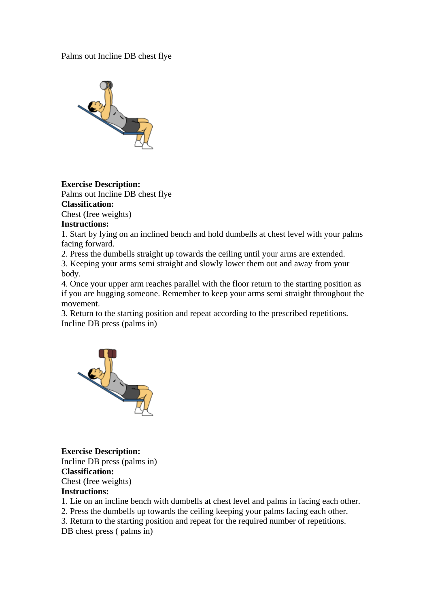Palms out Incline DB chest flye



**Exercise Description:**

Palms out Incline DB chest flye **Classification:**

Chest (free weights)

### **Instructions:**

1. Start by lying on an inclined bench and hold dumbells at chest level with your palms facing forward.

2. Press the dumbells straight up towards the ceiling until your arms are extended.

3. Keeping your arms semi straight and slowly lower them out and away from your body.

4. Once your upper arm reaches parallel with the floor return to the starting position as if you are hugging someone. Remember to keep your arms semi straight throughout the movement.

3. Return to the starting position and repeat according to the prescribed repetitions. Incline DB press (palms in)



**Exercise Description:** Incline DB press (palms in) **Classification:** Chest (free weights) **Instructions:**

1. Lie on an incline bench with dumbells at chest level and palms in facing each other.

2. Press the dumbells up towards the ceiling keeping your palms facing each other.

3. Return to the starting position and repeat for the required number of repetitions.

DB chest press ( palms in)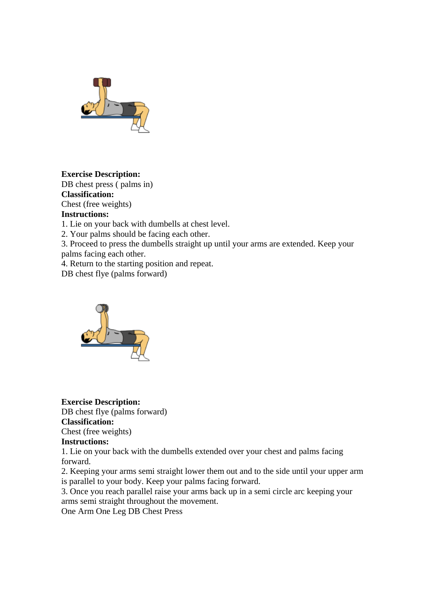

**Exercise Description:** DB chest press ( palms in) **Classification:** Chest (free weights)

# **Instructions:**

1. Lie on your back with dumbells at chest level.

2. Your palms should be facing each other.

3. Proceed to press the dumbells straight up until your arms are extended. Keep your palms facing each other.

4. Return to the starting position and repeat.

DB chest flye (palms forward)



**Exercise Description:** DB chest flye (palms forward) **Classification:** Chest (free weights)

### **Instructions:**

1. Lie on your back with the dumbells extended over your chest and palms facing forward.

2. Keeping your arms semi straight lower them out and to the side until your upper arm is parallel to your body. Keep your palms facing forward.

3. Once you reach parallel raise your arms back up in a semi circle arc keeping your arms semi straight throughout the movement.

One Arm One Leg DB Chest Press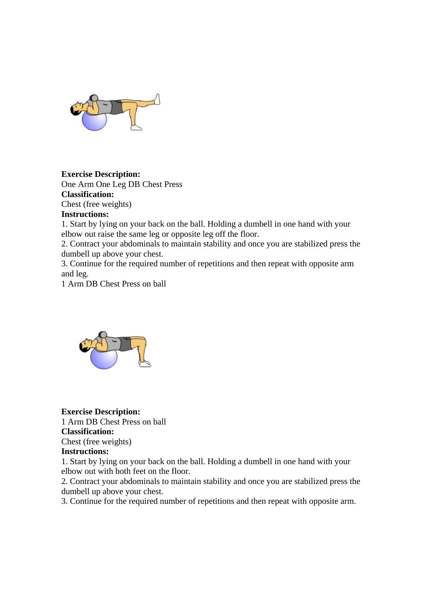

# **Exercise Description:**

One Arm One Leg DB Chest Press **Classification:** Chest (free weights)

# **Instructions:**

1. Start by lying on your back on the ball. Holding a dumbell in one hand with your elbow out raise the same leg or opposite leg off the floor.

2. Contract your abdominals to maintain stability and once you are stabilized press the dumbell up above your chest.

3. Continue for the required number of repetitions and then repeat with opposite arm and leg.

1 Arm DB Chest Press on ball



# **Exercise Description:** 1 Arm DB Chest Press on ball

### **Classification:**

Chest (free weights)

### **Instructions:**

1. Start by lying on your back on the ball. Holding a dumbell in one hand with your elbow out with both feet on the floor.

2. Contract your abdominals to maintain stability and once you are stabilized press the dumbell up above your chest.

3. Continue for the required number of repetitions and then repeat with opposite arm.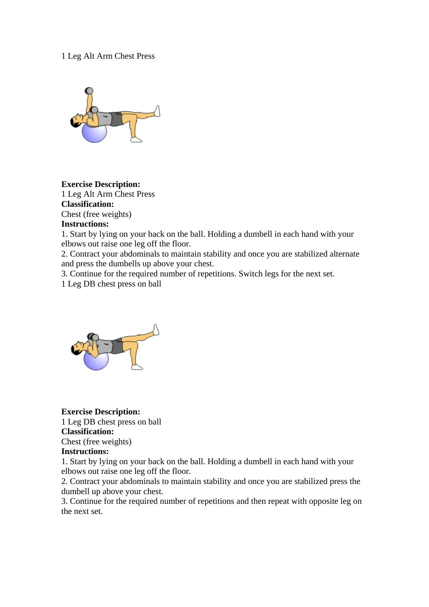### 1 Leg Alt Arm Chest Press



**Exercise Description:** 1 Leg Alt Arm Chest Press **Classification:** Chest (free weights)

### **Instructions:**

1. Start by lying on your back on the ball. Holding a dumbell in each hand with your elbows out raise one leg off the floor.

2. Contract your abdominals to maintain stability and once you are stabilized alternate and press the dumbells up above your chest.

3. Continue for the required number of repetitions. Switch legs for the next set.

1 Leg DB chest press on ball



# **Exercise Description:**

1 Leg DB chest press on ball **Classification:**

Chest (free weights)

### **Instructions:**

1. Start by lying on your back on the ball. Holding a dumbell in each hand with your elbows out raise one leg off the floor.

2. Contract your abdominals to maintain stability and once you are stabilized press the dumbell up above your chest.

3. Continue for the required number of repetitions and then repeat with opposite leg on the next set.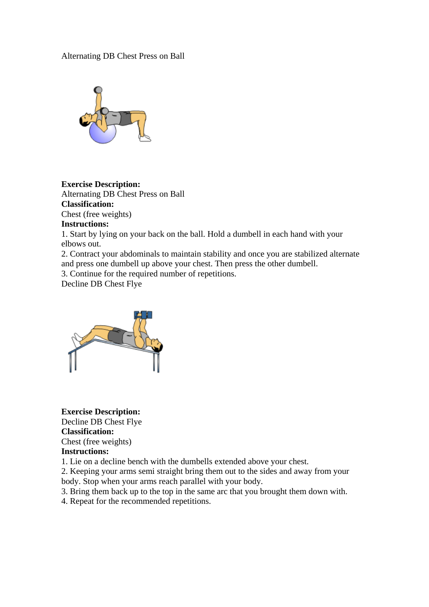### Alternating DB Chest Press on Ball



**Exercise Description:** Alternating DB Chest Press on Ball **Classification:** Chest (free weights)

### **Instructions:**

1. Start by lying on your back on the ball. Hold a dumbell in each hand with your elbows out.

2. Contract your abdominals to maintain stability and once you are stabilized alternate and press one dumbell up above your chest. Then press the other dumbell.

3. Continue for the required number of repetitions.

Decline DB Chest Flye



**Exercise Description:** Decline DB Chest Flye **Classification:** Chest (free weights)

#### **Instructions:**

1. Lie on a decline bench with the dumbells extended above your chest.

2. Keeping your arms semi straight bring them out to the sides and away from your body. Stop when your arms reach parallel with your body.

3. Bring them back up to the top in the same arc that you brought them down with.

4. Repeat for the recommended repetitions.